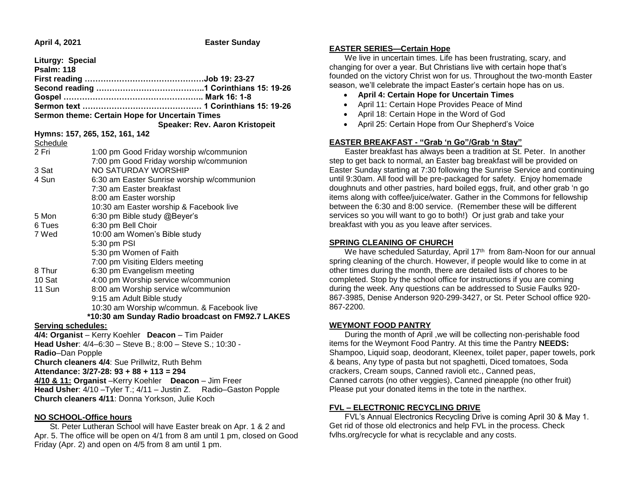|  | April 4, 2021 |
|--|---------------|
|--|---------------|

**Easter Sunday** 

| Liturgy: Special                                                                                               |                                            |  |  |
|----------------------------------------------------------------------------------------------------------------|--------------------------------------------|--|--|
| <b>Psalm: 118</b>                                                                                              |                                            |  |  |
|                                                                                                                |                                            |  |  |
|                                                                                                                |                                            |  |  |
|                                                                                                                |                                            |  |  |
|                                                                                                                |                                            |  |  |
| Sermon theme: Certain Hope for Uncertain Times                                                                 |                                            |  |  |
|                                                                                                                | Speaker: Rev. Aaron Kristopeit             |  |  |
| Hymns: 157, 265, 152, 161, 142                                                                                 |                                            |  |  |
| Schedule                                                                                                       |                                            |  |  |
| 2 Fri                                                                                                          | 1:00 pm Good Friday worship w/communion    |  |  |
|                                                                                                                | 7:00 pm Good Friday worship w/communion    |  |  |
| 3 Sat                                                                                                          | NO SATURDAY WORSHIP                        |  |  |
| 4 Sun                                                                                                          | 6:30 am Easter Sunrise worship w/communion |  |  |
| 7:30 am Easter breakfast                                                                                       |                                            |  |  |
| 8:00 am Easter worship                                                                                         |                                            |  |  |
|                                                                                                                | 10:30 am Easter worship & Facebook live    |  |  |
| 5 Mon                                                                                                          | 6:30 pm Bible study @Beyer's               |  |  |
| 6:30 pm Bell Choir<br>6 Tues                                                                                   |                                            |  |  |
| 7 Wed                                                                                                          | 10:00 am Women's Bible study               |  |  |
| 5:30 pm PSI                                                                                                    |                                            |  |  |
| 5:30 pm Women of Faith                                                                                         |                                            |  |  |
|                                                                                                                | 7:00 pm Visiting Elders meeting            |  |  |
| 8 Thur                                                                                                         | 6:30 pm Evangelism meeting                 |  |  |
| 10 Sat                                                                                                         | 4:00 pm Worship service w/communion        |  |  |
| 11 Sun                                                                                                         | 8:00 am Worship service w/communion        |  |  |
| 9:15 am Adult Bible study                                                                                      |                                            |  |  |
|                                                                                                                | 10:30 am Worship w/commun. & Facebook live |  |  |
| *10:30 am Sunday Radio broadcast on FM92.7 LAKES<br><b>Serving schedules:</b>                                  |                                            |  |  |
|                                                                                                                |                                            |  |  |
| 4/4: Organist - Kerry Koehler Deacon - Tim Paider<br>Head Usher: 4/4-6:30 - Steve B.; 8:00 - Steve S.; 10:30 - |                                            |  |  |
| Radio-Dan Popple                                                                                               |                                            |  |  |
| Church cleaners 4/4: Sue Prillwitz, Ruth Behm                                                                  |                                            |  |  |
| Attendance: 3/27-28: 93 + 88 + 113 = 294                                                                       |                                            |  |  |
| 4/10 & 11: Organist - Kerry Koehler Deacon - Jim Freer                                                         |                                            |  |  |

**Head Usher:** 4/10 – Tyler T.; 4/11 – Justin Z. Radio–Gaston Popple **Church cleaners 4/11**: Donna Yorkson, Julie Koch

#### **NO SCHOOL-Office hours**

 St. Peter Lutheran School will have Easter break on Apr. 1 & 2 and Apr. 5. The office will be open on 4/1 from 8 am until 1 pm, closed on Good Friday (Apr. 2) and open on 4/5 from 8 am until 1 pm.

#### **EASTER SERIES—Certain Hope**

 We live in uncertain times. Life has been frustrating, scary, and changing for over a year. But Christians live with certain hope that's founded on the victory Christ won for us. Throughout the two-month Easter season, we'll celebrate the impact Easter's certain hope has on us.

- **April 4: Certain Hope for Uncertain Times**
- April 11: Certain Hope Provides Peace of Mind
- April 18: Certain Hope in the Word of God
- April 25: Certain Hope from Our Shepherd's Voice

# **EASTER BREAKFAST - "Grab 'n Go"/Grab 'n Stay"**

 Easter breakfast has always been a tradition at St. Peter. In another step to get back to normal, an Easter bag breakfast will be provided on Easter Sunday starting at 7:30 following the Sunrise Service and continuing until 9:30am. All food will be pre-packaged for safety. Enjoy homemade doughnuts and other pastries, hard boiled eggs, fruit, and other grab 'n go items along with coffee/juice/water. Gather in the Commons for fellowship between the 6:30 and 8:00 service. (Remember these will be different services so you will want to go to both!) Or just grab and take your breakfast with you as you leave after services.

#### **SPRING CLEANING OF CHURCH**

We have scheduled Saturday, April 17<sup>th</sup> from 8am-Noon for our annual spring cleaning of the church. However, if people would like to come in at other times during the month, there are detailed lists of chores to be completed. Stop by the school office for instructions if you are coming during the week. Any questions can be addressed to Susie Faulks 920- 867-3985, Denise Anderson 920-299-3427, or St. Peter School office 920- 867-2200.

# **WEYMONT FOOD PANTRY**

 During the month of April ,we will be collecting non-perishable food items for the Weymont Food Pantry. At this time the Pantry **NEEDS:** Shampoo, Liquid soap, deodorant, Kleenex, toilet paper, paper towels, pork & beans, Any type of pasta but not spaghetti, Diced tomatoes, Soda crackers, Cream soups, Canned ravioli etc., Canned peas, Canned carrots (no other veggies), Canned pineapple (no other fruit) Please put your donated items in the tote in the narthex.

# **FVL – ELECTRONIC RECYCLING DRIVE**

 FVL's Annual Electronics Recycling Drive is coming April 30 & May 1. Get rid of those old electronics and help FVL in the process. Check fvlhs.org/recycle for what is recyclable and any costs.